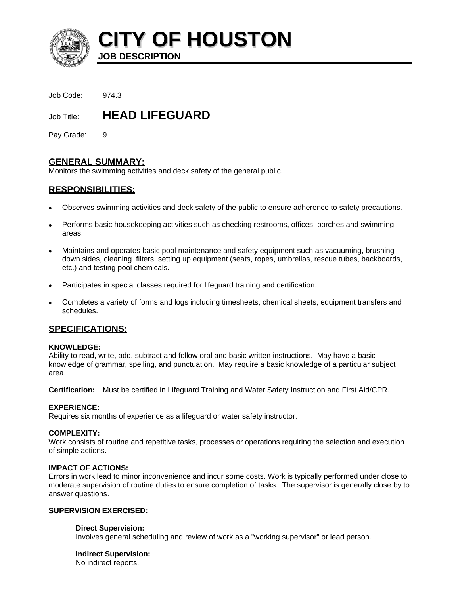

**CITY OF HOUSTON**

Job Code: 974.3

Job Title: **HEAD LIFEGUARD** 

**JOB DESCRIPTION** 

Pay Grade: 9

# **GENERAL SUMMARY:**

Monitors the swimming activities and deck safety of the general public.

# **RESPONSIBILITIES:**

- Observes swimming activities and deck safety of the public to ensure adherence to safety precautions.
- Performs basic housekeeping activities such as checking restrooms, offices, porches and swimming areas.
- Maintains and operates basic pool maintenance and safety equipment such as vacuuming, brushing down sides, cleaning filters, setting up equipment (seats, ropes, umbrellas, rescue tubes, backboards, etc.) and testing pool chemicals.
- Participates in special classes required for lifeguard training and certification.
- Completes a variety of forms and logs including timesheets, chemical sheets, equipment transfers and schedules.

# **SPECIFICATIONS:**

### **KNOWLEDGE:**

Ability to read, write, add, subtract and follow oral and basic written instructions. May have a basic knowledge of grammar, spelling, and punctuation. May require a basic knowledge of a particular subject area.

**Certification:** Must be certified in Lifeguard Training and Water Safety Instruction and First Aid/CPR.

### **EXPERIENCE:**

Requires six months of experience as a lifeguard or water safety instructor.

### **COMPLEXITY:**

Work consists of routine and repetitive tasks, processes or operations requiring the selection and execution of simple actions.

### **IMPACT OF ACTIONS:**

Errors in work lead to minor inconvenience and incur some costs. Work is typically performed under close to moderate supervision of routine duties to ensure completion of tasks. The supervisor is generally close by to answer questions.

### **SUPERVISION EXERCISED:**

### **Direct Supervision:**

Involves general scheduling and review of work as a "working supervisor" or lead person.

## **Indirect Supervision:**

No indirect reports.